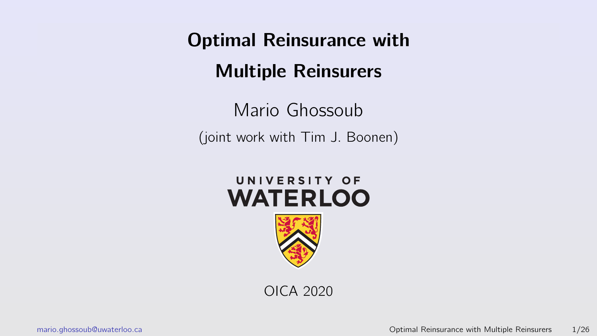<span id="page-0-0"></span>Mario Ghossoub (joint work with Tim J. Boonen)





OICA 2020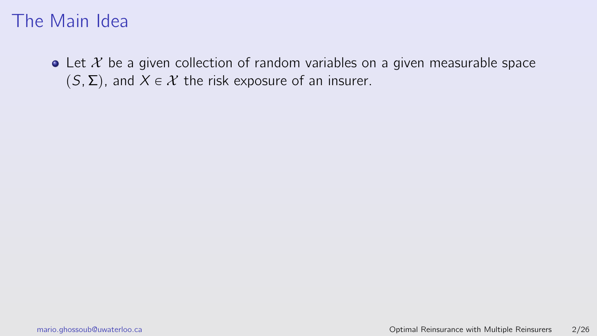$\bullet$  Let  $\mathcal X$  be a given collection of random variables on a given measurable space  $(S, \Sigma)$ , and  $X \in \mathcal{X}$  the risk exposure of an insurer.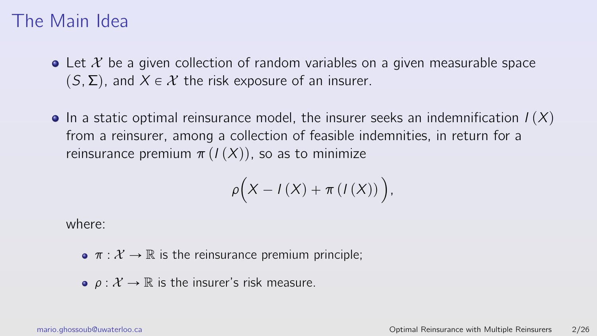- $\bullet$  Let X be a given collection of random variables on a given measurable space  $(S, \Sigma)$ , and  $X \in \mathcal{X}$  the risk exposure of an insurer.
- $\bullet$  In a static optimal reinsurance model, the insurer seeks an indemnification  $I(X)$ from a reinsurer, among a collection of feasible indemnities, in return for a reinsurance premium  $\pi(I(X))$ , so as to minimize

$$
\rho\Big(X - I(X) + \pi\left(I(X)\right)\Big),\
$$

where:

- $\bullet \pi : \mathcal{X} \to \mathbb{R}$  is the reinsurance premium principle;
- $\rho: \mathcal{X} \to \mathbb{R}$  is the insurer's risk measure.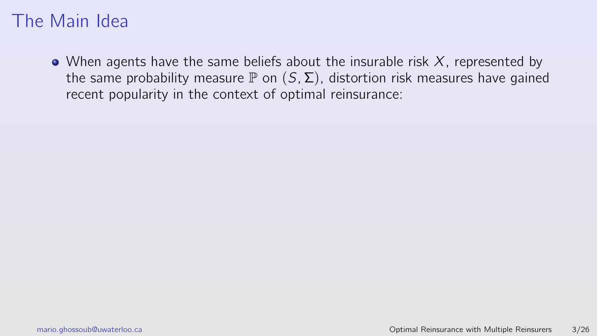• When agents have the same beliefs about the insurable risk  $X$ , represented by the same probability measure  $\mathbb P$  on  $(S, \Sigma)$ , distortion risk measures have gained recent popularity in the context of optimal reinsurance: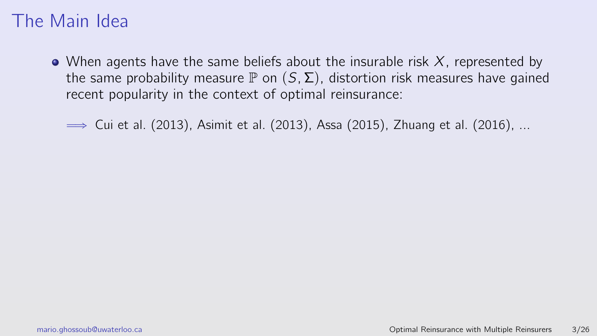$\bullet$  When agents have the same beliefs about the insurable risk X, represented by the same probability measure  $\mathbb P$  on  $(S, \Sigma)$ , distortion risk measures have gained recent popularity in the context of optimal reinsurance:

 $\Rightarrow$  Cui et al. (2013), Asimit et al. (2013), Assa (2015), Zhuang et al. (2016), ...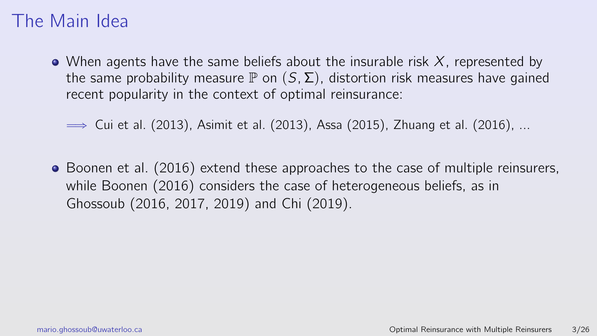• When agents have the same beliefs about the insurable risk  $X$ , represented by the same probability measure  $\mathbb P$  on  $(S, \Sigma)$ , distortion risk measures have gained recent popularity in the context of optimal reinsurance:

 $\Rightarrow$  Cui et al. (2013), Asimit et al. (2013), Assa (2015), Zhuang et al. (2016), ...

• Boonen et al. (2016) extend these approaches to the case of multiple reinsurers, while Boonen (2016) considers the case of heterogeneous beliefs, as in Ghossoub (2016, 2017, 2019) and Chi (2019).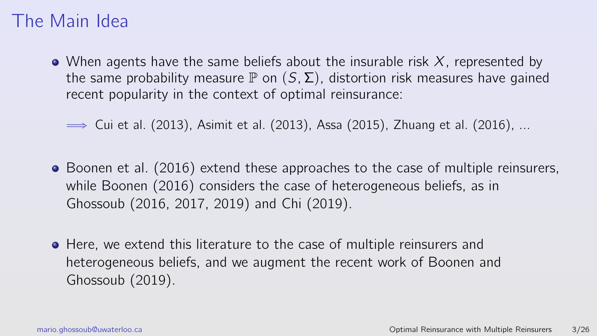$\bullet$  When agents have the same beliefs about the insurable risk X, represented by the same probability measure  $\mathbb P$  on  $(S, \Sigma)$ , distortion risk measures have gained recent popularity in the context of optimal reinsurance:

 $\Rightarrow$  Cui et al. (2013), Asimit et al. (2013), Assa (2015), Zhuang et al. (2016), ...

- Boonen et al. (2016) extend these approaches to the case of multiple reinsurers, while Boonen (2016) considers the case of heterogeneous beliefs, as in Ghossoub (2016, 2017, 2019) and Chi (2019).
- **•** Here, we extend this literature to the case of multiple reinsurers and heterogeneous beliefs, and we augment the recent work of Boonen and Ghossoub (2019).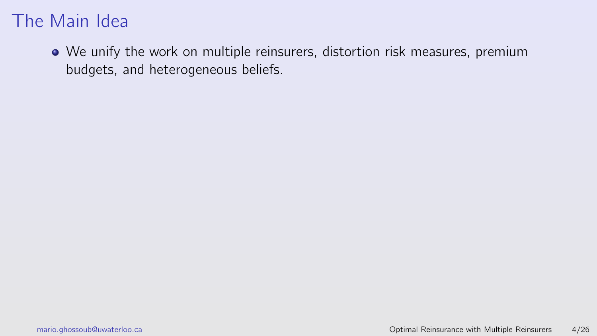We unify the work on multiple reinsurers, distortion risk measures, premium budgets, and heterogeneous beliefs.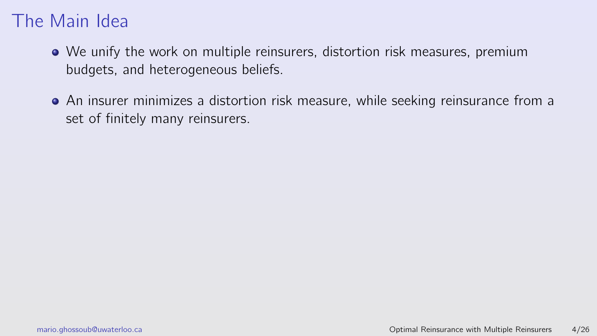- We unify the work on multiple reinsurers, distortion risk measures, premium budgets, and heterogeneous beliefs.
- An insurer minimizes a distortion risk measure, while seeking reinsurance from a set of finitely many reinsurers.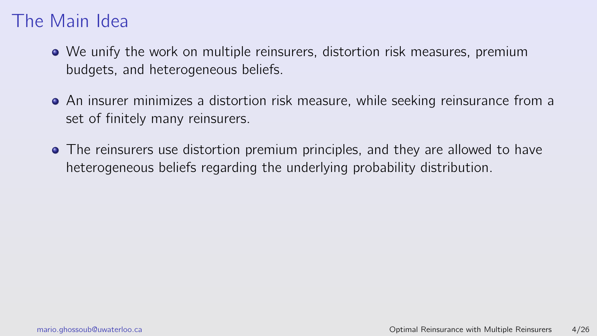- We unify the work on multiple reinsurers, distortion risk measures, premium budgets, and heterogeneous beliefs.
- An insurer minimizes a distortion risk measure, while seeking reinsurance from a set of finitely many reinsurers.
- The reinsurers use distortion premium principles, and they are allowed to have heterogeneous beliefs regarding the underlying probability distribution.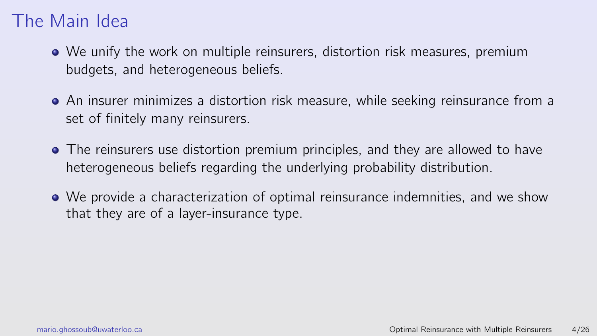- We unify the work on multiple reinsurers, distortion risk measures, premium budgets, and heterogeneous beliefs.
- An insurer minimizes a distortion risk measure, while seeking reinsurance from a set of finitely many reinsurers.
- The reinsurers use distortion premium principles, and they are allowed to have heterogeneous beliefs regarding the underlying probability distribution.
- We provide a characterization of optimal reinsurance indemnities, and we show that they are of a layer-insurance type.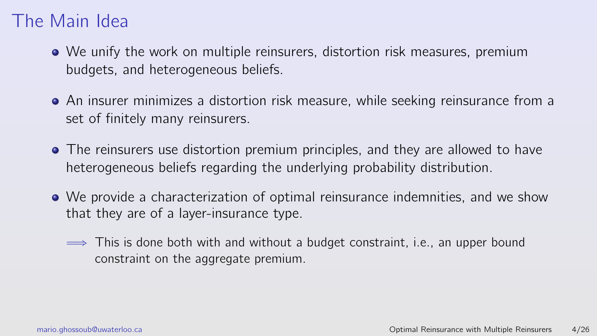- We unify the work on multiple reinsurers, distortion risk measures, premium budgets, and heterogeneous beliefs.
- An insurer minimizes a distortion risk measure, while seeking reinsurance from a set of finitely many reinsurers.
- The reinsurers use distortion premium principles, and they are allowed to have heterogeneous beliefs regarding the underlying probability distribution.
- We provide a characterization of optimal reinsurance indemnities, and we show that they are of a layer-insurance type.
	- $\implies$  This is done both with and without a budget constraint, i.e., an upper bound constraint on the aggregate premium.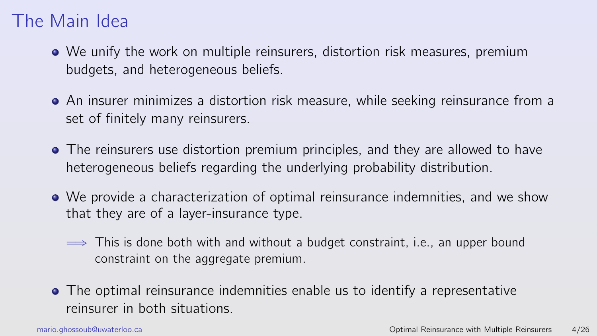- We unify the work on multiple reinsurers, distortion risk measures, premium budgets, and heterogeneous beliefs.
- An insurer minimizes a distortion risk measure, while seeking reinsurance from a set of finitely many reinsurers.
- The reinsurers use distortion premium principles, and they are allowed to have heterogeneous beliefs regarding the underlying probability distribution.
- We provide a characterization of optimal reinsurance indemnities, and we show that they are of a layer-insurance type.
	- $\implies$  This is done both with and without a budget constraint, i.e., an upper bound constraint on the aggregate premium.
- The optimal reinsurance indemnities enable us to identify a representative reinsurer in both situations.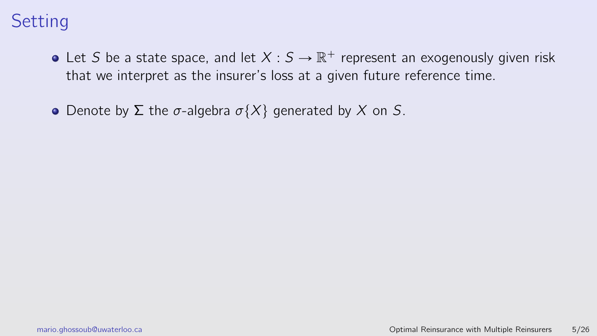- Let S be a state space, and let  $X:S \to \mathbb{R}^+$  represent an exogenously given risk that we interpret as the insurer's loss at a given future reference time.
- Denote by Σ the σ-algebra  $\sigma\{X\}$  generated by X on S.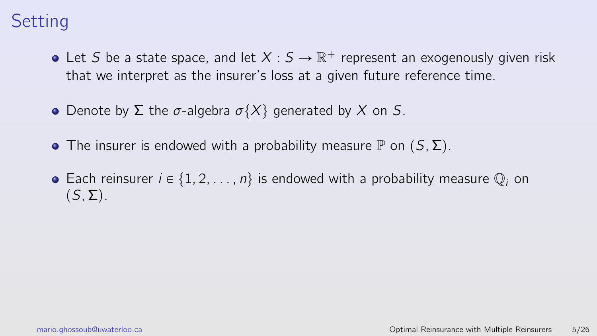- Let S be a state space, and let  $X:S \to \mathbb{R}^+$  represent an exogenously given risk that we interpret as the insurer's loss at a given future reference time.
- Denote by Σ the σ-algebra  $\sigma\{X\}$  generated by X on S.
- The insurer is endowed with a probability measure  $\mathbb P$  on  $(S, \Sigma)$ .
- Each reinsurer  $i \in \{1, 2, ..., n\}$  is endowed with a probability measure  $\mathbb{Q}_i$  on  $(S, \Sigma)$ .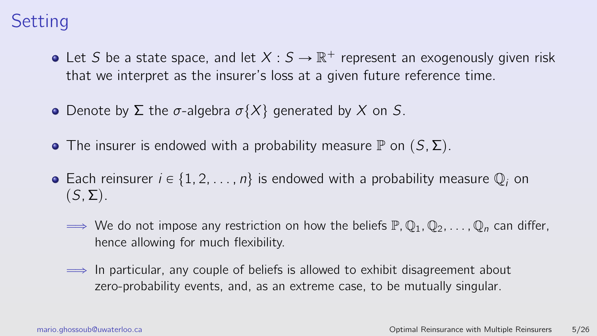- Let S be a state space, and let  $X:S \to \mathbb{R}^+$  represent an exogenously given risk that we interpret as the insurer's loss at a given future reference time.
- Denote by Σ the σ-algebra  $\sigma\{X\}$  generated by X on S.
- The insurer is endowed with a probability measure  $\mathbb P$  on  $(S, \Sigma)$ .
- Each reinsurer  $i \in \{1, 2, ..., n\}$  is endowed with a probability measure  $\mathbb{Q}_i$  on  $(S, \Sigma)$ .
	- $\Rightarrow$  We do not impose any restriction on how the beliefs  $\mathbb{P}, \mathbb{Q}_1, \mathbb{Q}_2, \dots, \mathbb{Q}_n$  can differ, hence allowing for much flexibility.
	- $\implies$  In particular, any couple of beliefs is allowed to exhibit disagreement about zero-probability events, and, as an extreme case, to be mutually singular.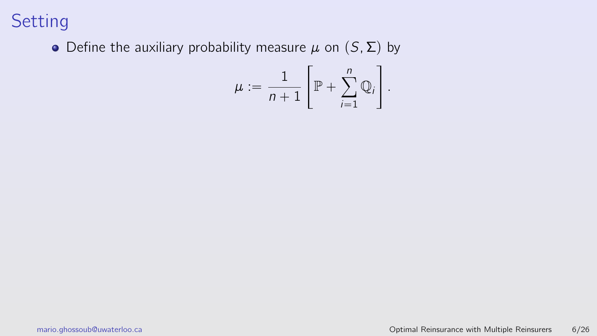• Define the auxiliary probability measure  $\mu$  on  $(S, \Sigma)$  by

$$
\mu := \frac{1}{n+1} \left[ \mathbb{P} + \sum_{i=1}^{n} \mathbb{Q}_i \right]
$$

.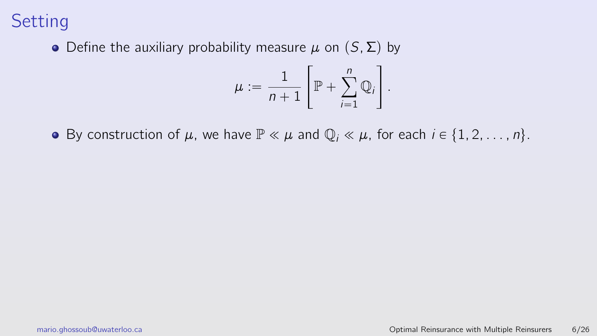• Define the auxiliary probability measure  $\mu$  on  $(S, \Sigma)$  by

$$
\mu := \frac{1}{n+1} \left[ \mathbb{P} + \sum_{i=1}^{n} \mathbb{Q}_i \right]
$$

.

• By construction of  $\mu$ , we have  $\mathbb{P} \ll \mu$  and  $\mathbb{Q}_i \ll \mu$ , for each  $i \in \{1, 2, ..., n\}$ .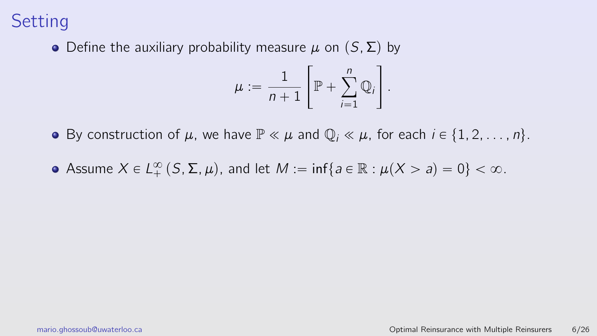• Define the auxiliary probability measure  $\mu$  on  $(S, \Sigma)$  by

$$
\mu := \frac{1}{n+1} \left[ \mathbb{P} + \sum_{i=1}^{n} \mathbb{Q}_i \right]
$$

.

- By construction of  $\mu$ , we have  $\mathbb{P} \ll \mu$  and  $\mathbb{Q}_i \ll \mu$ , for each  $i \in \{1, 2, \ldots, n\}$ .
- Assume  $X \in L^{\infty}_+ (S, \Sigma, \mu)$ , and let  $M := \inf \{ a \in \mathbb{R} : \mu(X > a) = 0 \} < \infty$ .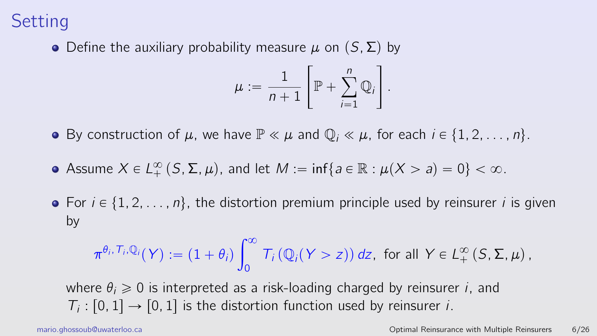• Define the auxiliary probability measure  $\mu$  on  $(S, \Sigma)$  by

$$
\mu := \frac{1}{n+1} \left[ \mathbb{P} + \sum_{i=1}^{n} \mathbb{Q}_i \right]
$$

.

- **•** By construction of  $\mu$ , we have  $\mathbb{P} \ll \mu$  and  $\mathbb{Q}_i \ll \mu$ , for each  $i \in \{1, 2, \ldots, n\}$ .
- Assume  $X \in L^{\infty}_+ (S, \Sigma, \mu)$ , and let  $M := \inf \{ a \in \mathbb{R} : \mu(X > a) = 0 \} < \infty$ .
- For  $i \in \{1, 2, \ldots, n\}$ , the distortion premium principle used by reinsurer i is given by

$$
\pi^{\theta_i, T_i, \mathbb{Q}_i}(Y) := (1 + \theta_i) \int_0^\infty T_i(\mathbb{Q}_i(Y > z)) dz, \text{ for all } Y \in L^\infty_+(S, \Sigma, \mu),
$$

where  $\theta_i \geq 0$  is interpreted as a risk-loading charged by reinsurer *i*, and  $T_i: [0, 1] \rightarrow [0, 1]$  is the distortion function used by reinsurer *i*.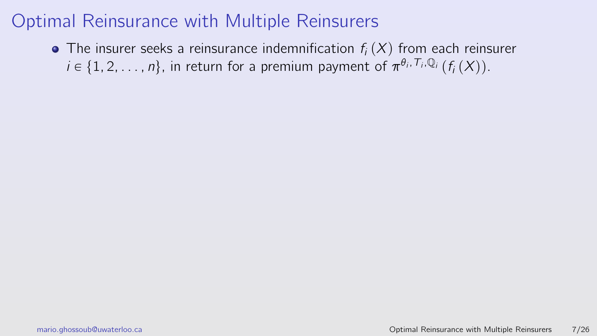• The insurer seeks a reinsurance indemnification  $f_i(X)$  from each reinsurer  $i \in \{1, 2, \ldots, n\}$ , in return for a premium payment of  $\pi^{\theta_i, T_i, \mathbb{Q}_i}$   $(f_i(X))$ .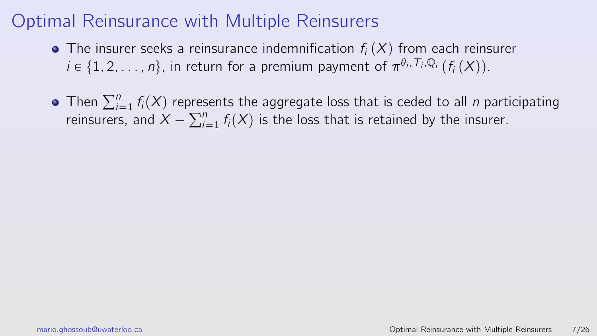- The insurer seeks a reinsurance indemnification  $f_i(X)$  from each reinsurer  $i \in \{1, 2, \ldots, n\}$ , in return for a premium payment of  $\pi^{\theta_i, T_i, \mathbb{Q}_i}$   $(f_i(X))$ .
- Then  $\sum_{i=1}^{n} f_i(X)$  represents the aggregate loss that is ceded to all *n* participating Then  $\sum_{i=1}^{r} r_i(x)$  repres<br>reinsurers, and  $X - \sum_{i=1}^{n} r_i(x)$  $\int_{i=1}^{n} f_i(X)$  is the loss that is retained by the insurer.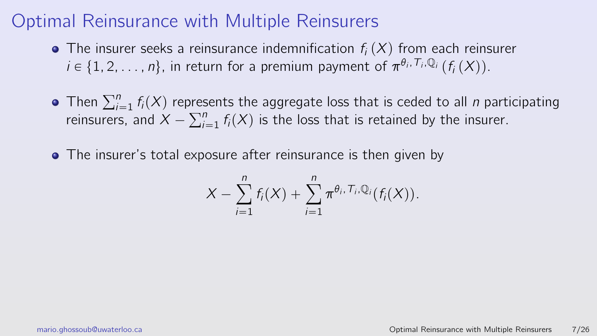- The insurer seeks a reinsurance indemnification  $f_i(X)$  from each reinsurer  $i \in \{1, 2, \ldots, n\}$ , in return for a premium payment of  $\pi^{\theta_i, T_i, \mathbb{Q}_i}$   $(f_i(X))$ .
- Then  $\sum_{i=1}^{n} f_i(X)$  represents the aggregate loss that is ceded to all *n* participating<br>rejections and  $X = \sum_{i=1}^{n} f_i(X)$  is the loss that is retained by the insurer reinsurers, and  $X - \sum_{i=1}^{n} f_i(X)$  is the loss that is retained by the insurer.
- The insurer's total exposure after reinsurance is then given by

$$
X-\sum_{i=1}^n f_i(X)+\sum_{i=1}^n \pi^{\theta_i,\,T_i,\mathbb{Q}_i}(f_i(X)).
$$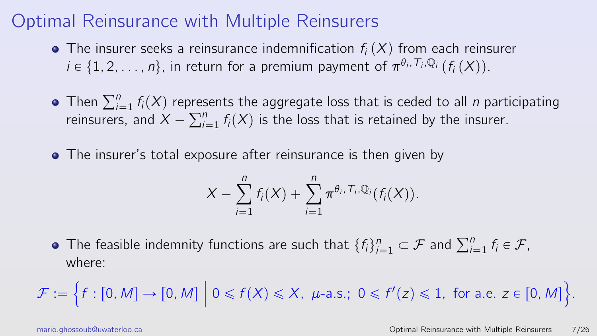- The insurer seeks a reinsurance indemnification  $f_i(X)$  from each reinsurer  $i \in \{1, 2, \ldots, n\}$ , in return for a premium payment of  $\pi^{\theta_i, T_i, \mathbb{Q}_i}$   $(f_i(X))$ .
- Then  $\sum_{i=1}^{n} f_i(X)$  represents the aggregate loss that is ceded to all *n* participating Then  $\sum_{i=1}^{r} r_i(x)$  repres<br>reinsurers, and  $X - \sum_{i=1}^{n} r_i(x)$  $\int_{i=1}^{n} f_i(X)$  is the loss that is retained by the insurer.
- The insurer's total exposure after reinsurance is then given by

$$
X-\sum_{i=1}^n f_i(X)+\sum_{i=1}^n \pi^{\theta_i,\,T_i,\mathbb{Q}_i}(f_i(X)).
$$

The feasible indemnity functions are such that  $\{f_i\}_{i=1}^n$  $i=1}^n \subset \mathcal{F}$  and  $\sum_{i=1}^n f_i \in \mathcal{F}$ , where: !

 $\mathcal{F} :=$  $f : [0, M] \rightarrow [0, M]$  $\vert 0 \le f(X) \le X$ ,  $\mu$ -a.s.;  $0 \le f'(z) \le 1$ , for a.e.  $z \in [0, M]$ ) .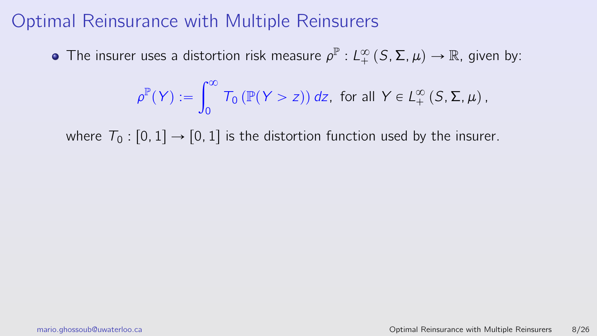The insurer uses a distortion risk measure  $\rho^{\mathbb{P}}: L^{\infty}_{+}(S,\Sigma,\mu) \to \mathbb{R}$ , given by:

$$
\rho^{\mathbb{P}}(\mathsf{Y}) := \int_0^\infty T_0\left(\mathbb{P}(\mathsf{Y} > z)\right) dz, \text{ for all } \mathsf{Y} \in L^\infty_+\left(S, \Sigma, \mu\right),
$$

<span id="page-26-0"></span>where  $T_0$ :  $[0, 1] \rightarrow [0, 1]$  is the distortion function used by the insurer.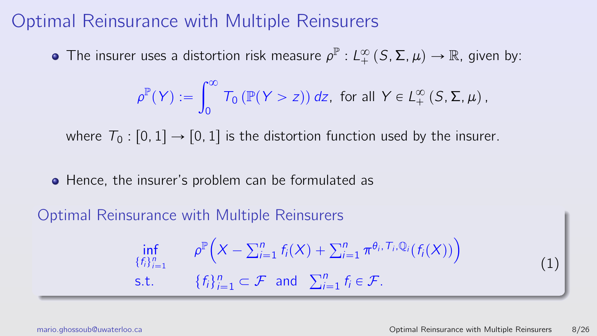The insurer uses a distortion risk measure  $\rho^{\mathbb{P}}: L^{\infty}_{+}(S,\Sigma,\mu) \to \mathbb{R}$ , given by:

$$
\rho^{\mathbb{P}}(Y) := \int_0^\infty T_0(\mathbb{P}(Y > z)) dz, \text{ for all } Y \in L_+^\infty(S, \Sigma, \mu),
$$

where  $T_0$ :  $[0, 1] \rightarrow [0, 1]$  is the distortion function used by the insurer.

• Hence, the insurer's problem can be formulated as

Optimal Reinsurance with Multiple Reinsurers

$$
\inf_{\{f_i\}_{i=1}^n} \rho^{\mathbb{P}}\Big(X - \sum_{i=1}^n f_i(X) + \sum_{i=1}^n \pi^{\theta_i, \mathcal{T}_i, \mathbb{Q}_i}(f_i(X))\Big) \n\text{s.t.} \quad \{f_i\}_{i=1}^n \subset \mathcal{F} \text{ and } \sum_{i=1}^n f_i \in \mathcal{F}.
$$
\n(1)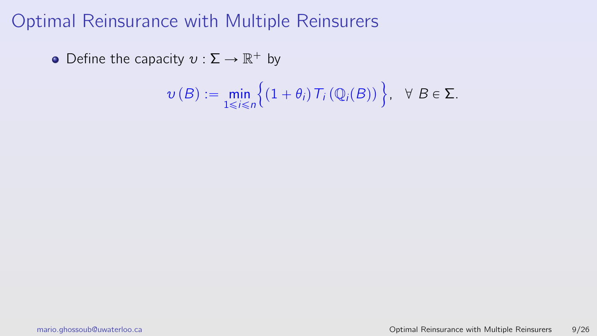Define the capacity  $v : \Sigma \to \mathbb{R}^+$  by

$$
\nu(B) := \min_{1 \leq i \leq n} \Big\{ (1 + \theta_i) \, \mathcal{T}_i\left(\mathbb{Q}_i(B)\right) \Big\}, \quad \forall \, B \in \Sigma.
$$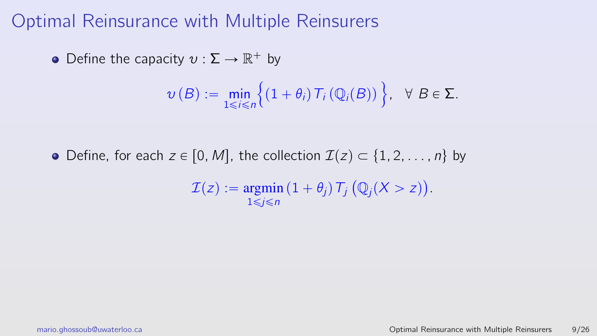Define the capacity  $v : \Sigma \to \mathbb{R}^+$  by

$$
\nu(B) := \min_{1 \leq i \leq n} \Big\{ (1 + \theta_i) \, \mathcal{T}_i \left( \mathbb{Q}_i(B) \right) \Big\}, \quad \forall \, B \in \Sigma.
$$

• Define, for each  $z \in [0, M]$ , the collection  $\mathcal{I}(z) \subset \{1, 2, \ldots, n\}$  by  $\mathcal{I}(z) := \operatorname{argmin} \left( 1 + \theta_j \right) \mathcal{T}_j$  $1 \leq i \leq n$ `  $\mathbb{Q}_j(X > z)$ ˘ .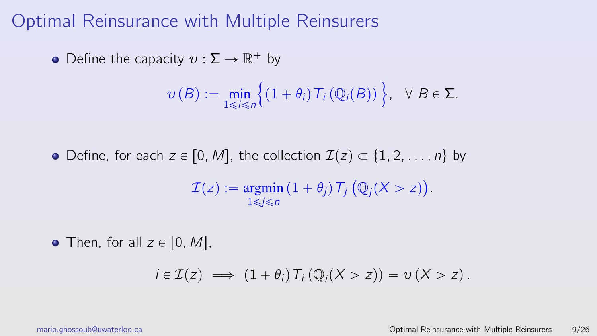Define the capacity  $v : \Sigma \to \mathbb{R}^+$  by

$$
\nu(B) := \min_{1 \leq i \leq n} \Big\{ (1 + \theta_i) \, \mathcal{T}_i \left( \mathbb{Q}_i(B) \right) \Big\}, \quad \forall \, B \in \Sigma.
$$

• Define, for each  $z \in [0, M]$ , the collection  $\mathcal{I}(z) \subset \{1, 2, \ldots, n\}$  by

$$
\mathcal{I}(z) := \underset{1 \leq j \leq n}{\operatorname{argmin}} \left(1 + \theta_j\right) T_j \left(\mathbb{Q}_j(X > z)\right).
$$

• Then, for all  $z \in [0, M]$ ,

$$
i\in\mathcal{I}(z)\implies(1+\theta_i)T_i(\mathbb{Q}_i(X>z))=v(X>z).
$$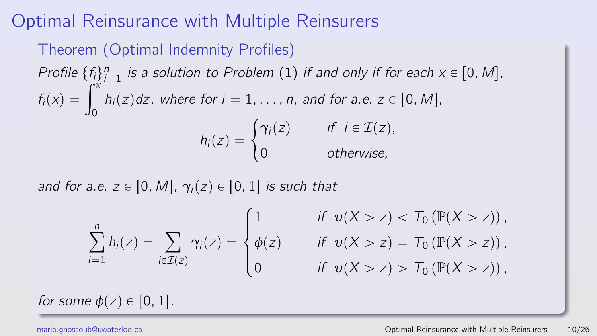#### Theorem (Optimal Indemnity Profiles)

Profile  $\{f_i\}_{i=1}^n$  is a solution to Problem [\(1\)](#page-26-0) if and only if for each  $x \in [0, M]$ , Profile  $\{f_i\}_{i=1}^n$  is a solution to Problem (1) if and only if for each  $\lambda$ <br> $f_i(x) = \int_0^x h_i(z) dz$ , where for  $i = 1, \ldots, n$ , and for a.e.  $z \in [0, M]$ ,  $h_i(z) = \begin{cases}$  $\gamma_i(z)$  if  $i \in \mathcal{I}(z)$ , 0 otherwise,

and for a.e.  $z \in [0, M]$ ,  $\gamma_i(z) \in [0, 1]$  is such that  $\mathbb{R}^2$ 

$$
\sum_{i=1}^{n} h_i(z) = \sum_{i \in \mathcal{I}(z)} \gamma_i(z) = \begin{cases} 1 & \text{if } v(X > z) < T_0 (\mathbb{P}(X > z)), \\ \phi(z) & \text{if } v(X > z) = T_0 (\mathbb{P}(X > z)), \\ 0 & \text{if } v(X > z) > T_0 (\mathbb{P}(X > z)), \end{cases}
$$

for some  $\phi(z) \in [0, 1]$ .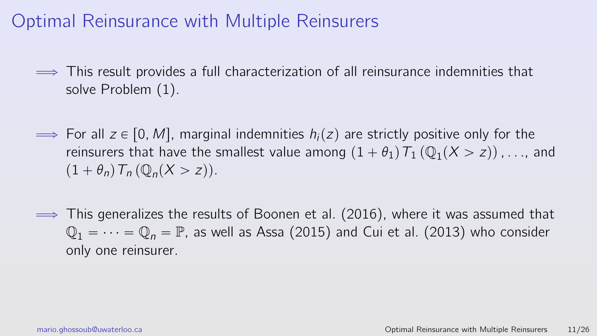- $\implies$  This result provides a full characterization of all reinsurance indemnities that solve Problem [\(1\)](#page-26-0).
- $\Rightarrow$  For all  $z \in [0, M]$ , marginal indemnities  $h_i(z)$  are strictly positive only for the reinsurers that have the smallest value among  $(1 + \theta_1) T_1 (\mathbb{Q}_1(X > z))$  , . . . , and  $(1 + \theta_n) T_n (\mathbb{Q}_n(X > z)).$
- $\implies$  This generalizes the results of Boonen et al. (2016), where it was assumed that  $\mathbb{Q}_1 = \cdots = \mathbb{Q}_n = \mathbb{P}$ , as well as Assa (2015) and Cui et al. (2013) who consider only one reinsurer.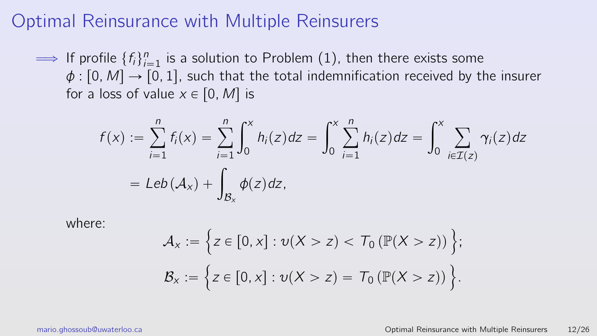$\implies$  If profile  $\{f_i\}_{i=1}^n$  is a solution to Problem [\(1\)](#page-26-0), then there exists some  $\phi$  : [0, M]  $\rightarrow$  [0, 1], such that the total indemnification received by the insurer for a loss of value  $x \in [0, M]$  is

$$
f(x) := \sum_{i=1}^{n} f_i(x) = \sum_{i=1}^{n} \int_0^x h_i(z) dz = \int_0^x \sum_{i=1}^{n} h_i(z) dz = \int_0^x \sum_{i \in \mathcal{I}(z)} \gamma_i(z) dz
$$
  
= Leb( $A_x$ ) +  $\int_{B_x} \phi(z) dz$ ,

where:

$$
\mathcal{A}_x := \left\{ z \in [0, x] : \nu(X > z) < T_0 \left( \mathbb{P}(X > z) \right) \right\};
$$
  

$$
\mathcal{B}_x := \left\{ z \in [0, x] : \nu(X > z) = T_0 \left( \mathbb{P}(X > z) \right) \right\}.
$$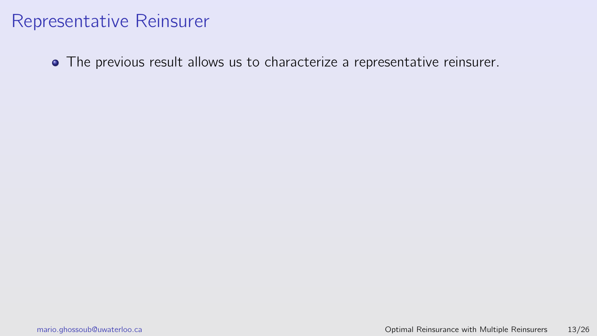The previous result allows us to characterize a representative reinsurer.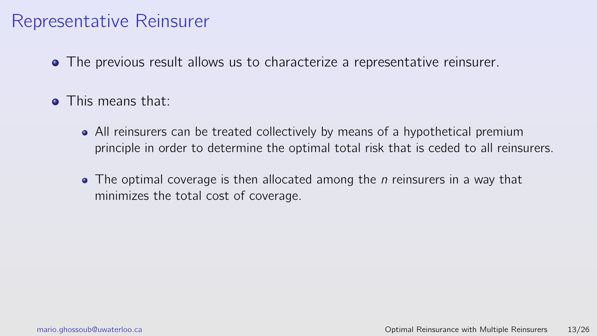- The previous result allows us to characterize a representative reinsurer.
- **o** This means that:
	- All reinsurers can be treated collectively by means of a hypothetical premium principle in order to determine the optimal total risk that is ceded to all reinsurers.
	- $\bullet$  The optimal coverage is then allocated among the *n* reinsurers in a way that minimizes the total cost of coverage.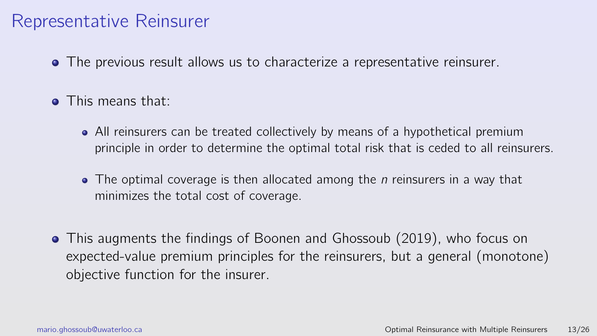- The previous result allows us to characterize a representative reinsurer.
- **o** This means that:
	- All reinsurers can be treated collectively by means of a hypothetical premium principle in order to determine the optimal total risk that is ceded to all reinsurers.
	- $\bullet$  The optimal coverage is then allocated among the *n* reinsurers in a way that minimizes the total cost of coverage.
- This augments the findings of Boonen and Ghossoub (2019), who focus on expected-value premium principles for the reinsurers, but a general (monotone) objective function for the insurer.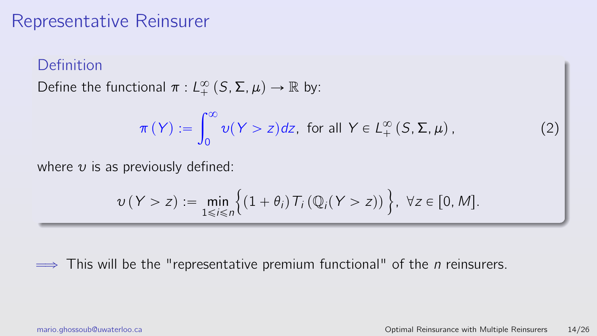#### Definition

Define the functional  $\pi: L_+^{\infty}(S, \Sigma, \mu) \to \mathbb{R}$  by:

<span id="page-38-0"></span>
$$
\pi(Y) := \int_0^\infty v(Y > z) dz, \text{ for all } Y \in L_+^\infty(S, \Sigma, \mu), \tag{2}
$$

where  $v$  is as previously defined:

$$
\nu(Y > z) := \min_{1 \leq i \leq n} \Big\{ (1 + \theta_i) T_i \left( \mathbb{Q}_i(Y > z) \right) \Big\}, \ \forall z \in [0, M].
$$

 $\implies$  This will be the "representative premium functional" of the *n* reinsurers.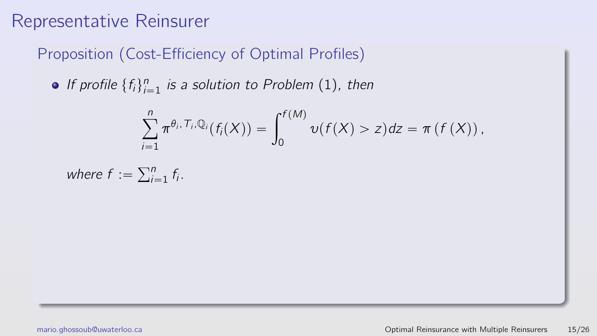Proposition (Cost-Efficiency of Optimal Profiles)

If profile  $\{f_i\}_{i=1}^n$  is a solution to Problem [\(1\)](#page-26-0), then

$$
\sum_{i=1}^n \pi^{\theta_i, T_i, \mathbb{Q}_i}(f_i(X)) = \int_0^{f(M)} \nu(f(X) > z) dz = \pi(f(X)),
$$

where 
$$
f := \sum_{i=1}^{n} f_i
$$
.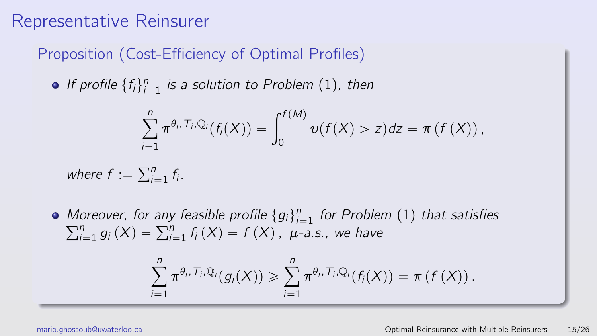Proposition (Cost-Efficiency of Optimal Profiles)

If profile  $\{f_i\}_{i=1}^n$  is a solution to Problem [\(1\)](#page-26-0), then

$$
\sum_{i=1}^n \pi^{\theta_i, T_i, \mathbb{Q}_i}(f_i(X)) = \int_0^{f(M)} \nu(f(X) > z) dz = \pi(f(X)),
$$

where  $f := \sum_{i=1}^{n}$  $\prod_{i=1}^n f_i$ .

Moreover, for any feasible profile  $\{g_i\}_{i=1}^n$  for Problem [\(1\)](#page-26-0) that satisfies  $\sum_{i=1}^{n} g_i(X) = \sum_{i=1}^{n} f_i(X) = f(X)$ ,  $\mu$ -a.s., we have

$$
\sum_{i=1}^n \pi^{\theta_i, T_i, \mathbb{Q}_i}(g_i(X)) \geqslant \sum_{i=1}^n \pi^{\theta_i, T_i, \mathbb{Q}_i}(f_i(X)) = \pi(f(X)).
$$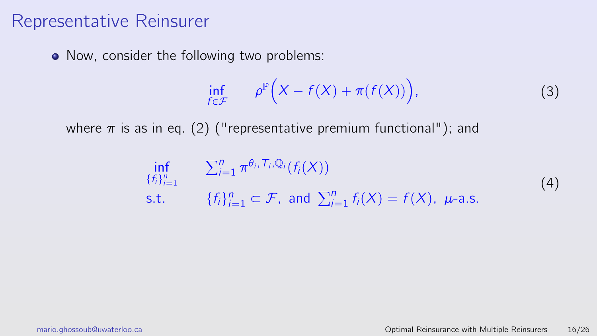• Now, consider the following two problems:

<span id="page-41-1"></span>
$$
\inf_{f \in \mathcal{F}} \qquad \rho^{\mathbb{P}}\Big(X - f(X) + \pi(f(X))\Big),\tag{3}
$$

where  $\pi$  is as in eq. [\(2\)](#page-38-0) ("representative premium functional"); and

<span id="page-41-0"></span>
$$
\inf_{\{f_i\}_{i=1}^n} \sum_{i=1}^n \pi^{\theta_i, T_i, \mathbb{Q}_i}(f_i(X))
$$
\ns.t. 
$$
\{f_i\}_{i=1}^n \subset \mathcal{F}, \text{ and } \sum_{i=1}^n f_i(X) = f(X), \ \mu\text{-a.s.}
$$
\n(4)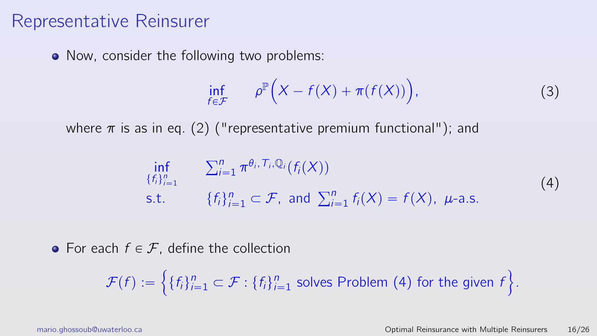• Now, consider the following two problems:

$$
\inf_{f \in \mathcal{F}} \qquad \rho^{\mathbb{P}}\Big(X - f(X) + \pi(f(X))\Big),\tag{3}
$$

where  $\pi$  is as in eq. [\(2\)](#page-38-0) ("representative premium functional"); and

$$
\inf_{\{f_i\}_{i=1}^n} \sum_{i=1}^n \pi^{\theta_i, T_i, \mathbb{Q}_i}(f_i(X))
$$
\ns.t. 
$$
\{f_i\}_{i=1}^n \subset \mathcal{F}, \text{ and } \sum_{i=1}^n f_i(X) = f(X), \ \mu\text{-a.s.}
$$
\n(4)

• For each  $f \in \mathcal{F}$ , define the collection !<br>!

$$
\mathcal{F}(f) := \left\{ \{f_i\}_{i=1}^n \subset \mathcal{F} : \{f_i\}_{i=1}^n \text{ solves Problem (4) for the given } f \right\}.
$$

)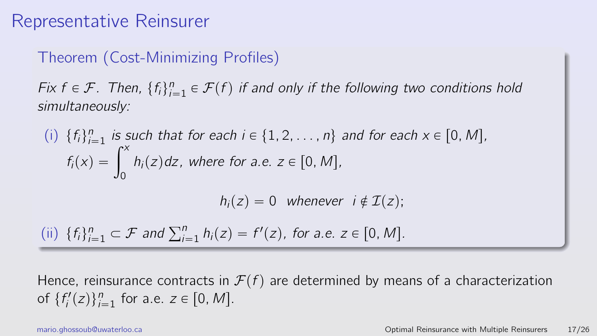#### Theorem (Cost-Minimizing Profiles)

Fix  $f \in \mathcal{F}$ . Then,  $\{f_i\}_{i=1}^n \in \mathcal{F}(f)$  if and only if the following two conditions hold simultaneously:

(i) 
$$
\{f_i\}_{i=1}^n
$$
 is such that for each  $i \in \{1, 2, \ldots, n\}$  and for each  $x \in [0, M]$ ,  $f_i(x) = \int_0^x h_i(z) \, dz$ , where for a.e.  $z \in [0, M]$ ,

 $h_i(z) = 0$  whenever  $i \notin \mathcal{I}(z)$ ;

(ii)  $\{f_i\}_{i=1}^n$  $\sum_{i=1}^n \subset \mathcal{F}$  and  $\sum_{i=1}^n h_i(z) = f'(z)$ , for a.e.  $z \in [0, M]$ .

Hence, reinsurance contracts in  $\mathcal{F}(f)$  are determined by means of a characterization of  $\{f'_i(z)\}_{i=1}^n$  for a.e.  $z \in [0, M]$ .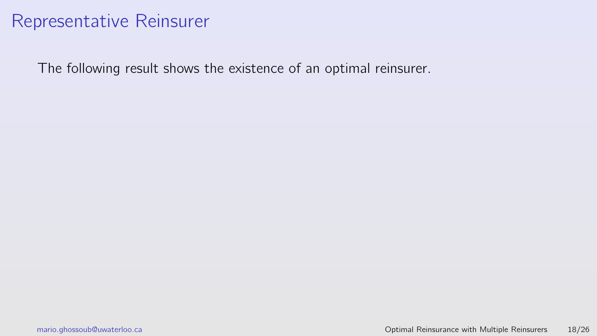The following result shows the existence of an optimal reinsurer.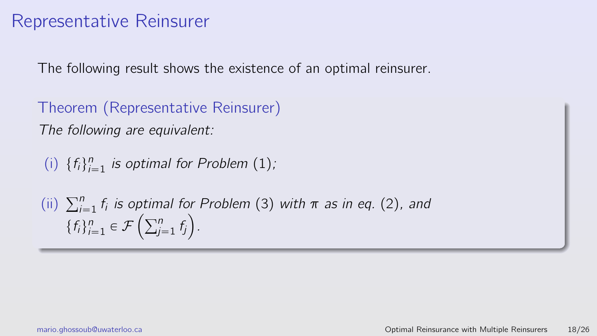The following result shows the existence of an optimal reinsurer.

Theorem (Representative Reinsurer) The following are equivalent:

(i)  $\{f_i\}_{i=1}^n$  is optimal for Problem [\(1\)](#page-26-0);

(ii)  $\sum_{i=1}^{n} f_i$  is optimal for Problem [\(3\)](#page-41-1) with  $\pi$  as in eq. [\(2\)](#page-38-0), and  $\sum_{i=1}^n t_i$  is optim $\{f_i\}_{i=1}^n \in \mathcal{F}\left(\sum_{j=1}^n t_j\right)$  $j=1$   $f_j$  ).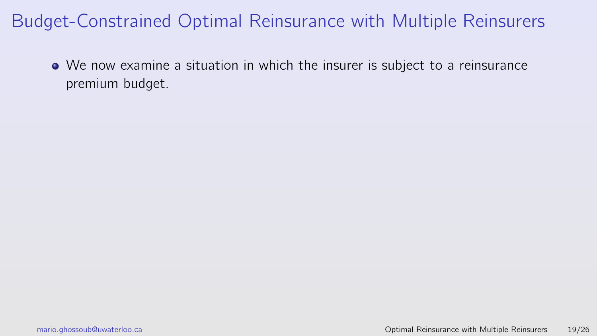We now examine a situation in which the insurer is subject to a reinsurance premium budget.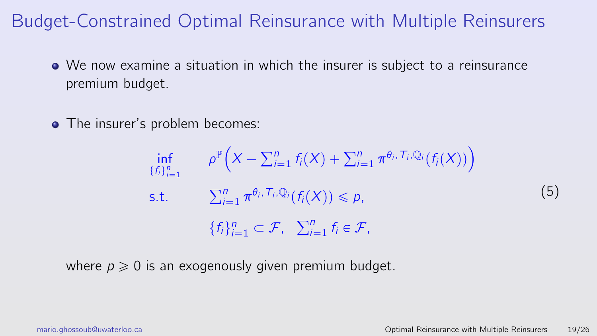- We now examine a situation in which the insurer is subject to a reinsurance premium budget.
- The insurer's problem becomes:

$$
\inf_{\{f_i\}_{i=1}^n} \rho^{\mathbb{P}}\Big(X - \sum_{i=1}^n f_i(X) + \sum_{i=1}^n \pi^{\theta_i, \mathcal{T}_i, \mathbb{Q}_i}(f_i(X))\Big)
$$
\ns.t. 
$$
\sum_{i=1}^n \pi^{\theta_i, \mathcal{T}_i, \mathbb{Q}_i}(f_i(X)) \leq p,
$$
\n
$$
\{f_i\}_{i=1}^n \subset \mathcal{F}, \quad \sum_{i=1}^n f_i \in \mathcal{F},
$$
\n(5)

where  $p \geq 0$  is an exogenously given premium budget.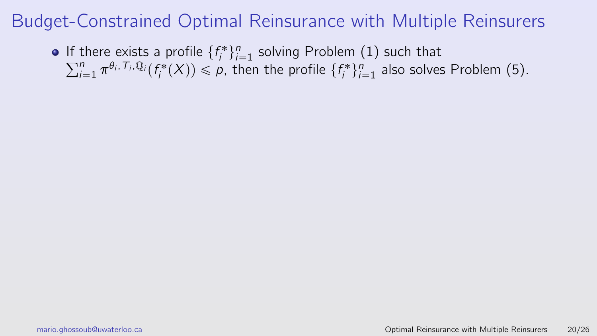If there exists a profile  $\{f_i^*\}_{i=1}^n$  solving Problem [\(1\)](#page-26-0) such that It t  $\int_{i=1}^n \pi^{\theta_i, T_i, \mathbb{Q}_i}(f_i^*(X)) \leqslant p$ , then the profile  $\{f_i^*\}_{i=1}^n$  also solves Problem [\(5\)](#page-46-0).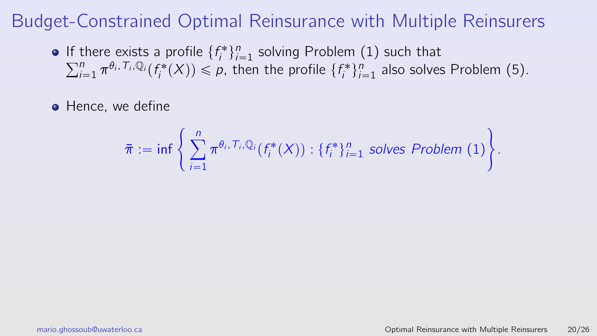- If there exists a profile  $\{f_i^*\}_{i=1}^n$  solving Problem [\(1\)](#page-26-0) such that It t  $\int_{i=1}^n \pi^{\theta_i, T_i, \mathbb{Q}_i}(f_i^*(X)) \leqslant p$ , then the profile  $\{f_i^*\}_{i=1}^n$  also solves Problem [\(5\)](#page-46-0).
- Hence, we define

$$
\bar{\pi} := \inf \left\{ \sum_{i=1}^n \pi^{\theta_i, T_i, \mathbb{Q}_i} (f_i^*(X)) : \{f_i^*\}_{i=1}^n \text{ solves Problem (1)} \right\}.
$$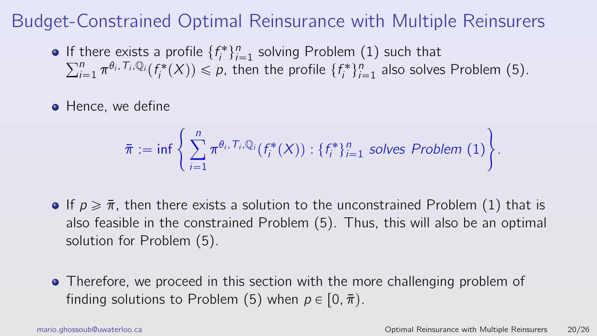- If there exists a profile  $\{f_i^*\}_{i=1}^n$  solving Problem [\(1\)](#page-26-0) such that It t  $\int_{i=1}^n \pi^{\theta_i, T_i, \mathbb{Q}_i}(f_i^*(X)) \leqslant p$ , then the profile  $\{f_i^*\}_{i=1}^n$  also solves Problem [\(5\)](#page-46-0).
- Hence, we define

$$
\bar{\pi} := \inf \left\{ \sum_{i=1}^n \pi^{\theta_i, T_i, \mathbb{Q}_i} (f_i^*(X)) : \{f_i^*\}_{i=1}^n \text{ solves Problem (1)} \right\}.
$$

- If  $p \geq \overline{\pi}$ , then there exists a solution to the unconstrained Problem [\(1\)](#page-26-0) that is also feasible in the constrained Problem [\(5\)](#page-46-0). Thus, this will also be an optimal solution for Problem [\(5\)](#page-46-0).
- Therefore, we proceed in this section with the more challenging problem of finding solutions to Problem [\(5\)](#page-46-0) when  $p \in [0, \bar{\pi})$ .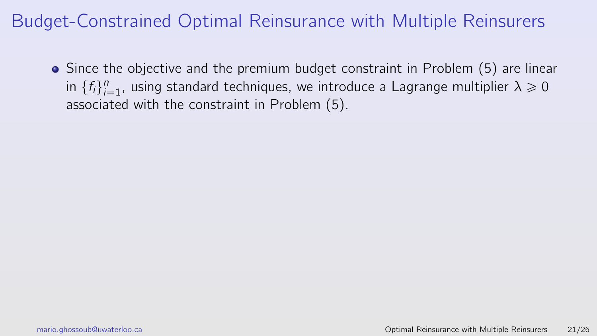<span id="page-52-0"></span>• Since the objective and the premium budget constraint in Problem [\(5\)](#page-46-0) are linear in  $\{f_i\}_{i=1}^n$ , using standard techniques, we introduce a Lagrange multiplier  $\lambda \geq 0$ associated with the constraint in Problem [\(5\)](#page-46-0).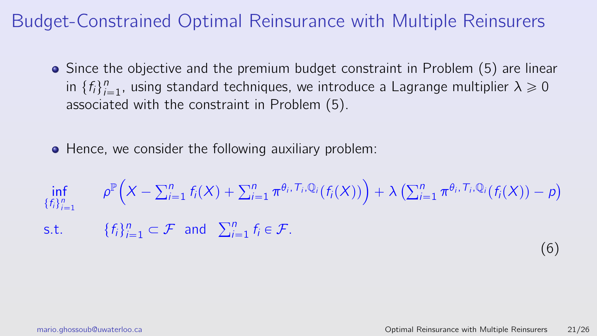- Since the objective and the premium budget constraint in Problem [\(5\)](#page-46-0) are linear in  $\{f_i\}_{i=1}^n$ , using standard techniques, we introduce a Lagrange multiplier  $\lambda \geq 0$ associated with the constraint in Problem [\(5\)](#page-46-0).
- Hence, we consider the following auxiliary problem:

$$
\inf_{\{f_i\}_{i=1}^n} \rho^{\mathbb{P}}\Big(X - \sum_{i=1}^n f_i(X) + \sum_{i=1}^n \pi^{\theta_i, \mathcal{T}_i, \mathbb{Q}_i}(f_i(X))\Big) + \lambda \left(\sum_{i=1}^n \pi^{\theta_i, \mathcal{T}_i, \mathbb{Q}_i}(f_i(X)) - p\right)
$$
\n
$$
\text{s.t.} \quad \{f_i\}_{i=1}^n \subset \mathcal{F} \quad \text{and} \quad \sum_{i=1}^n f_i \in \mathcal{F}. \tag{6}
$$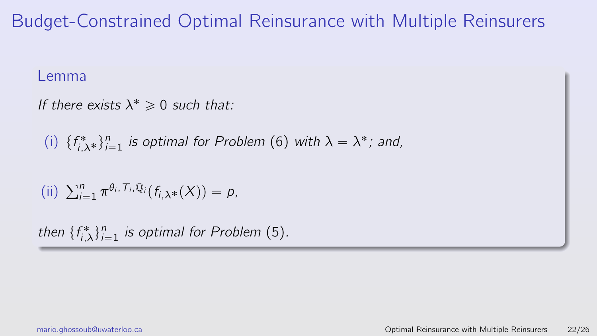#### Lemma

If there exists  $\lambda^* \geq 0$  such that:

(i)  $\{f_{i,\lambda}^*\}_{i=1}^n$  is optimal for Problem [\(6\)](#page-52-0) with  $\lambda = \lambda^*$ ; and,

(ii) 
$$
\sum_{i=1}^n \pi^{\theta_i, T_i, \mathbb{Q}_i}(f_{i,\lambda^*}(X)) = p,
$$

then  $\{f_{i,\lambda}^*\}_{i=1}^n$  is optimal for Problem [\(5\)](#page-46-0).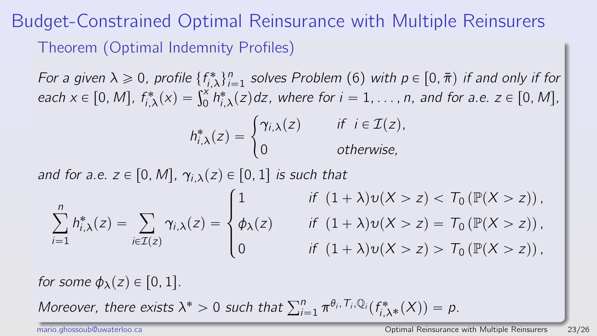# Budget-Constrained Optimal Reinsurance with Multiple Reinsurers Theorem (Optimal Indemnity Profiles)

For a given  $\lambda \geqslant 0$ , profile  $\{f_{j,\lambda}^*\}_{i=1}^n$  solves Problem [\(6\)](#page-52-0) with  $p \in [0, \bar{\pi})$  if and only if for For a given  $x \ge 0$ , profile  $\{r_{i,\lambda}\}_{i=1}^{\infty}$  solves Problem (6) with  $p \in [0, \pi)$  if and only if for each  $x \in [0, M]$ ,  $f_{i,\lambda}^*(x) = \int_0^x h_{i,\lambda}^*(z) dz$ , where for  $i = 1, \ldots, n$ , and for a.e.  $z \in [0, M]$ ,

$$
h_{i,\lambda}^{*}(z) = \begin{cases} \gamma_{i,\lambda}(z) & \text{if } i \in \mathcal{I}(z), \\ 0 & \text{otherwise,} \end{cases}
$$

and for a.e.  $z \in [0, M]$ ,  $\gamma_{i,\lambda}(z) \in [0, 1]$  is such that

$$
\sum_{i=1}^n h_{i,\lambda}^*(z) = \sum_{i \in \mathcal{I}(z)} \gamma_{i,\lambda}(z) = \begin{cases} 1 & \text{if } (1+\lambda)v(X > z) < T_0 \left( \mathbb{P}(X > z) \right), \\ \phi_{\lambda}(z) & \text{if } (1+\lambda)v(X > z) = T_0 \left( \mathbb{P}(X > z) \right), \\ 0 & \text{if } (1+\lambda)v(X > z) > T_0 \left( \mathbb{P}(X > z) \right), \end{cases}
$$

for some  $\phi_{\lambda}(z) \in [0, 1]$ .

Moreover, there exists  $\lambda^* > 0$  such that  $\sum_{i=1}^n \pi^{\theta_i, T_i, \mathbb{Q}_i} (f_{i,\lambda^*}^*(X)) = p$ .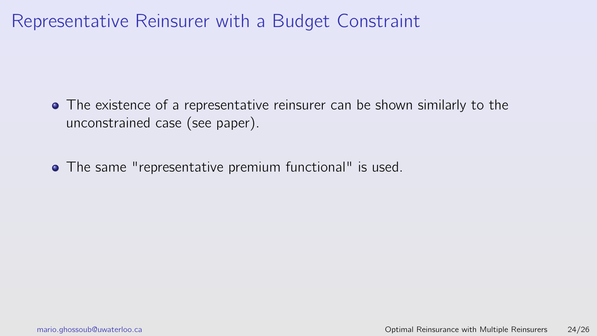# Representative Reinsurer with a Budget Constraint

- The existence of a representative reinsurer can be shown similarly to the unconstrained case (see paper).
- The same "representative premium functional" is used.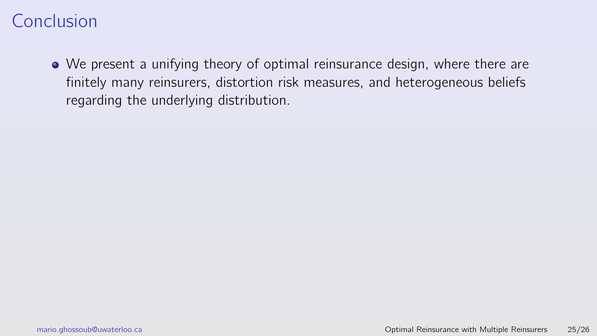We present a unifying theory of optimal reinsurance design, where there are finitely many reinsurers, distortion risk measures, and heterogeneous beliefs regarding the underlying distribution.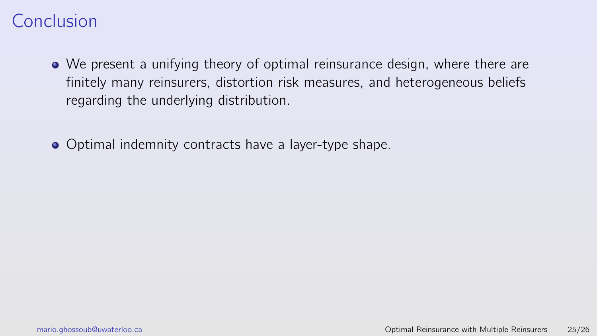- We present a unifying theory of optimal reinsurance design, where there are finitely many reinsurers, distortion risk measures, and heterogeneous beliefs regarding the underlying distribution.
- **Optimal indemnity contracts have a layer-type shape.**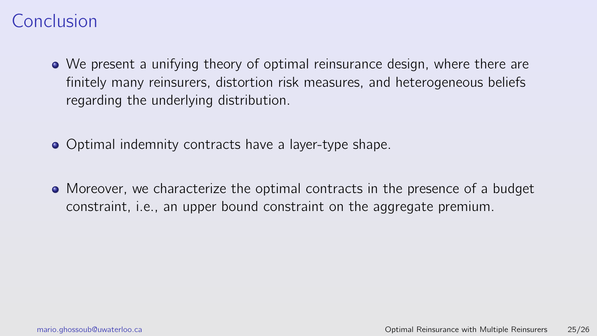- We present a unifying theory of optimal reinsurance design, where there are finitely many reinsurers, distortion risk measures, and heterogeneous beliefs regarding the underlying distribution.
- **Optimal indemnity contracts have a layer-type shape.**
- Moreover, we characterize the optimal contracts in the presence of a budget constraint, i.e., an upper bound constraint on the aggregate premium.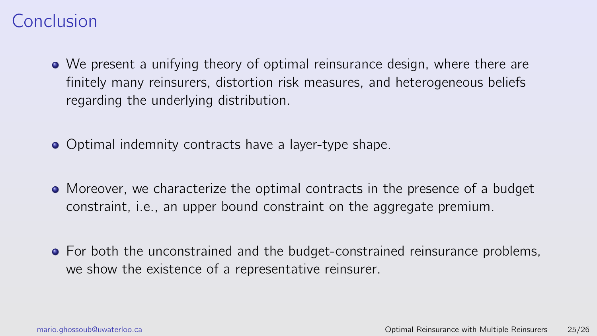- We present a unifying theory of optimal reinsurance design, where there are finitely many reinsurers, distortion risk measures, and heterogeneous beliefs regarding the underlying distribution.
- **Optimal indemnity contracts have a layer-type shape.**
- Moreover, we characterize the optimal contracts in the presence of a budget constraint, i.e., an upper bound constraint on the aggregate premium.
- For both the unconstrained and the budget-constrained reinsurance problems, we show the existence of a representative reinsurer.